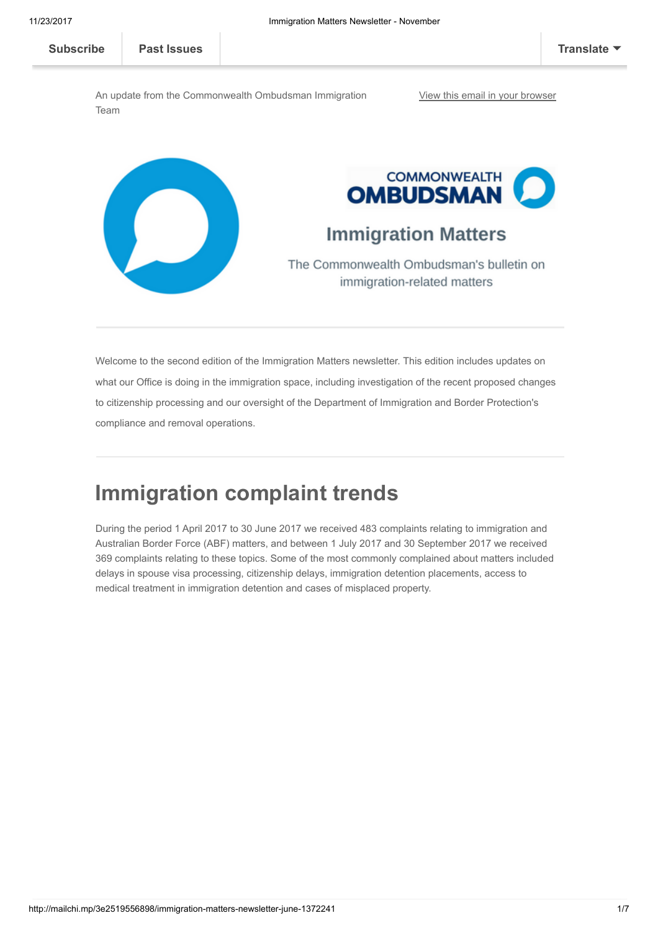An update from the Commonwealth Ombudsman Immigration Team



Welcome to the second edition of the Immigration Matters newsletter. This edition includes updates on what our Office is doing in the immigration space, including investigation of the recent proposed changes to citizenship processing and our oversight of the Department of Immigration and Border Protection's compliance and removal operations.

### Immigration complaint trends

During the period 1 April 2017 to 30 June 2017 we received 483 complaints relating to immigration and Australian Border Force (ABF) matters, and between 1 July 2017 and 30 September 2017 we received 369 complaints relating to these topics. Some of the most commonly complained about matters included delays in spouse visa processing, citizenship delays, immigration detention placements, access to medical treatment in immigration detention and cases of misplaced property.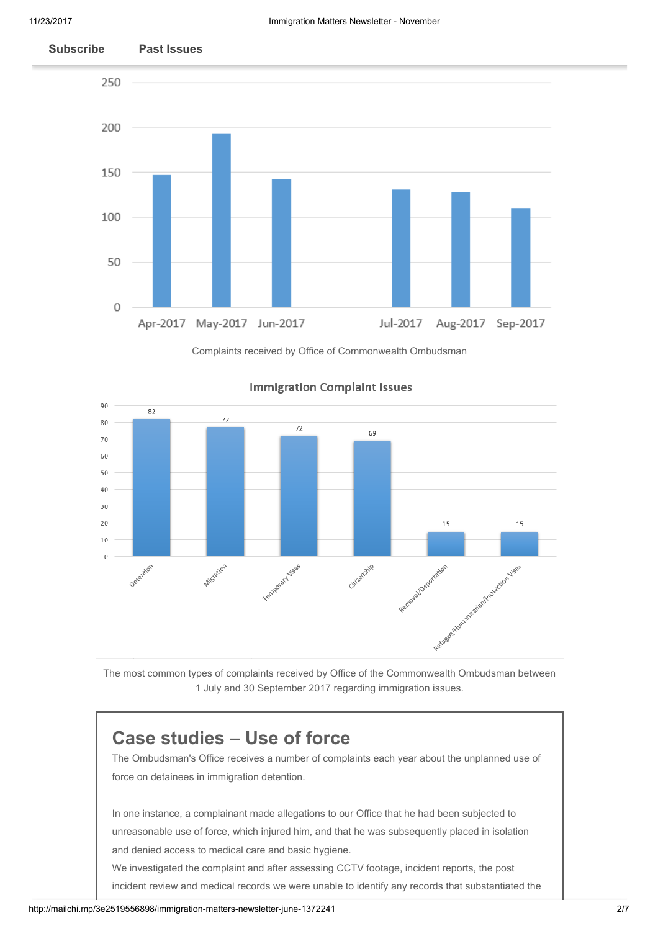

Complaints received by Office of Commonwealth Ombudsman



#### **Immigration Complaint Issues**

The most common types of complaints received by Office of the Commonwealth Ombudsman between 1 July and 30 September 2017 regarding immigration issues.

### Case studies – Use of force

The Ombudsman's Office receives a number of complaints each year about the unplanned use of force on detainees in immigration detention.

In one instance, a complainant made allegations to our Office that he had been subjected to unreasonable use of force, which injured him, and that he was subsequently placed in isolation and denied access to medical care and basic hygiene.

We investigated the complaint and after assessing CCTV footage, incident reports, the post incident review and medical records we were unable to identify any records that substantiated the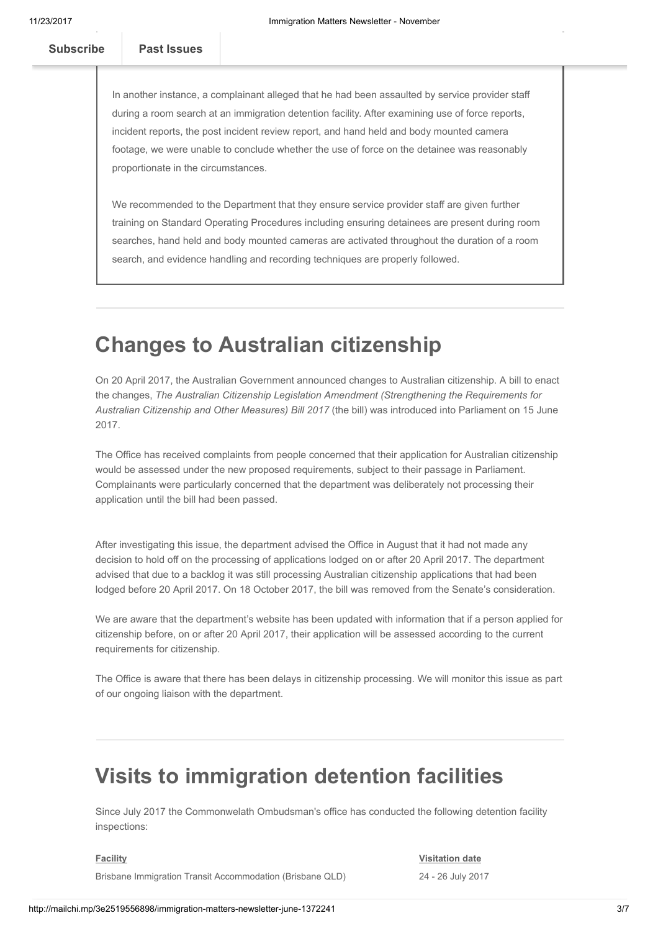In another instance, a complainant alleged that he had been assaulted by service provider staff during a room search at an immigration detention facility. After examining use of force reports, incident reports, the post incident review report, and hand held and body mounted camera footage, we were unable to conclude whether the use of force on the detainee was reasonably proportionate in the circumstances.

We recommended to the Department that they ensure service provider staff are given further training on Standard Operating Procedures including ensuring detainees are present during room searches, hand held and body mounted cameras are activated throughout the duration of a room search, and evidence handling and recording techniques are properly followed.

## Changes to Australian citizenship

there was no evidence to substantiate the complainant's claims.

On 20 April 2017, the Australian Government announced changes to Australian citizenship. A bill to enact the changes, The Australian Citizenship Legislation Amendment (Strengthening the Requirements for Australian Citizenship and Other Measures) Bill 2017 (the bill) was introduced into Parliament on 15 June 2017.

The Office has received complaints from people concerned that their application for Australian citizenship would be assessed under the new proposed requirements, subject to their passage in Parliament. Complainants were particularly concerned that the department was deliberately not processing their application until the bill had been passed.

After investigating this issue, the department advised the Office in August that it had not made any decision to hold off on the processing of applications lodged on or after 20 April 2017. The department advised that due to a backlog it was still processing Australian citizenship applications that had been lodged before 20 April 2017. On 18 October 2017, the bill was removed from the Senate's consideration.

We are aware that the department's website has been updated with information that if a person applied for citizenship before, on or after 20 April 2017, their application will be assessed according to the current requirements for citizenship.

The Office is aware that there has been delays in citizenship processing. We will monitor this issue as part of our ongoing liaison with the department.

# Visits to immigration detention facilities

Since July 2017 the Commonwelath Ombudsman's office has conducted the following detention facility inspections:

#### **Facility**

#### Visitation date

Brisbane Immigration Transit Accommodation (Brisbane QLD)

24 - 26 July 2017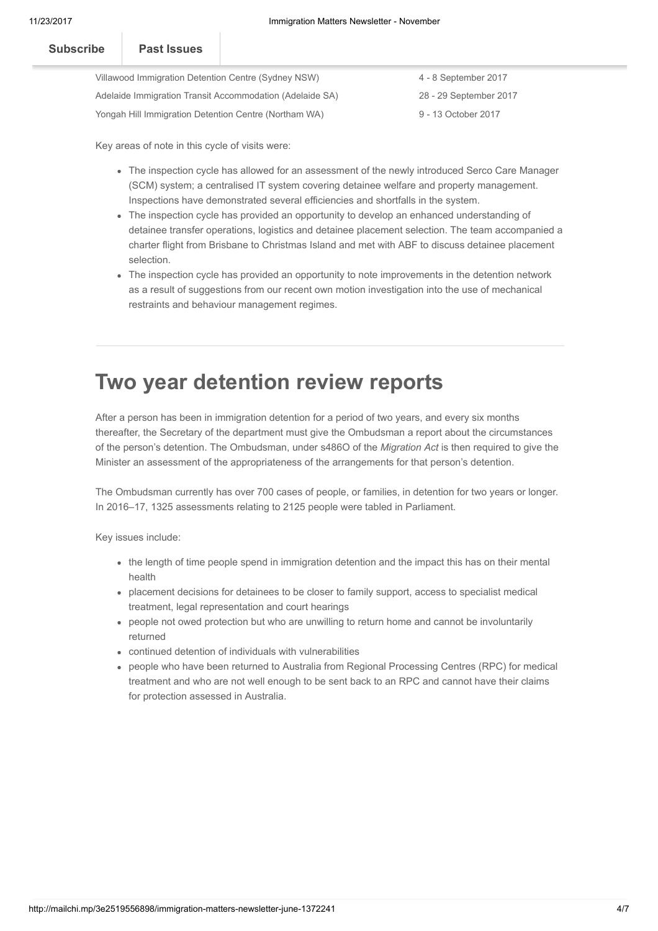| <b>Subscribe</b>                                         | Past Issues |  |  |  |
|----------------------------------------------------------|-------------|--|--|--|
| Villawood Immigration Detention Centre (Sydney NSW)      |             |  |  |  |
| Adelaide Immigration Transit Accommodation (Adelaide SA) |             |  |  |  |

4 - 8 September 2017 28 - 29 September 2017 9 - 13 October 2017

Key areas of note in this cycle of visits were:

Yongah Hill Immigration Detention Centre (Northam WA)

- The inspection cycle has allowed for an assessment of the newly introduced Serco Care Manager (SCM) system; a centralised IT system covering detainee welfare and property management. Inspections have demonstrated several efficiencies and shortfalls in the system.
- The inspection cycle has provided an opportunity to develop an enhanced understanding of detainee transfer operations, logistics and detainee placement selection. The team accompanied a charter flight from Brisbane to Christmas Island and met with ABF to discuss detainee placement selection.
- The inspection cycle has provided an opportunity to note improvements in the detention network as a result of suggestions from our recent own motion investigation into the use of mechanical restraints and behaviour management regimes.

### Two year detention review reports

After a person has been in immigration detention for a period of two years, and every six months thereafter, the Secretary of the department must give the Ombudsman a report about the circumstances of the person's detention. The Ombudsman, under s486O of the Migration Act is then required to give the Minister an assessment of the appropriateness of the arrangements for that person's detention.

The Ombudsman currently has over 700 cases of people, or families, in detention for two years or longer. In 2016–17, 1325 assessments relating to 2125 people were tabled in Parliament.

Key issues include:

- the length of time people spend in immigration detention and the impact this has on their mental health
- placement decisions for detainees to be closer to family support, access to specialist medical treatment, legal representation and court hearings
- people not owed protection but who are unwilling to return home and cannot be involuntarily returned
- continued detention of individuals with vulnerabilities
- people who have been returned to Australia from Regional Processing Centres (RPC) for medical treatment and who are not well enough to be sent back to an RPC and cannot have their claims for protection assessed in Australia.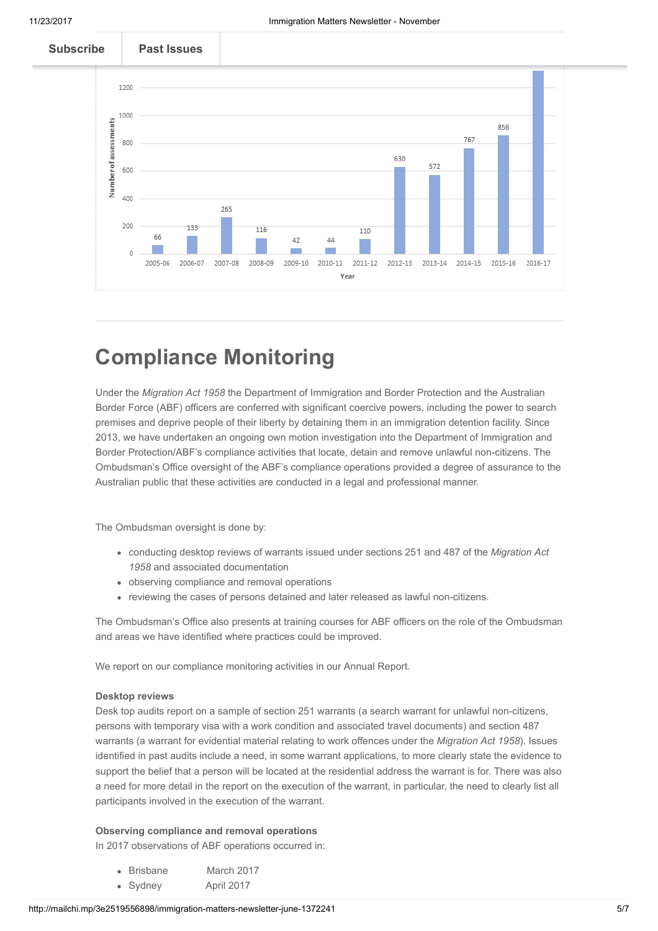

### Compliance Monitoring

Under the Migration Act 1958 the Department of Immigration and Border Protection and the Australian Border Force (ABF) officers are conferred with significant coercive powers, including the power to search premises and deprive people of their liberty by detaining them in an immigration detention facility. Since 2013, we have undertaken an ongoing own motion investigation into the Department of Immigration and Border Protection/ABF's compliance activities that locate, detain and remove unlawful non-citizens. The Ombudsman's Office oversight of the ABF's compliance operations provided a degree of assurance to the Australian public that these activities are conducted in a legal and professional manner.

The Ombudsman oversight is done by:

- conducting desktop reviews of warrants issued under sections 251 and 487 of the Migration Act 1958 and associated documentation
- observing compliance and removal operations
- reviewing the cases of persons detained and later released as lawful non-citizens.

The Ombudsman's Office also presents at training courses for ABF officers on the role of the Ombudsman and areas we have identified where practices could be improved.

We report on our compliance monitoring activities in our Annual Report.

#### Desktop reviews

Desk top audits report on a sample of section 251 warrants (a search warrant for unlawful non-citizens, persons with temporary visa with a work condition and associated travel documents) and section 487 warrants (a warrant for evidential material relating to work offences under the Migration Act 1958). Issues identified in past audits include a need, in some warrant applications, to more clearly state the evidence to support the belief that a person will be located at the residential address the warrant is for. There was also a need for more detail in the report on the execution of the warrant, in particular, the need to clearly list all participants involved in the execution of the warrant.

#### Observing compliance and removal operations

In 2017 observations of ABF operations occurred in:

- Brisbane March 2017
- Sydney April 2017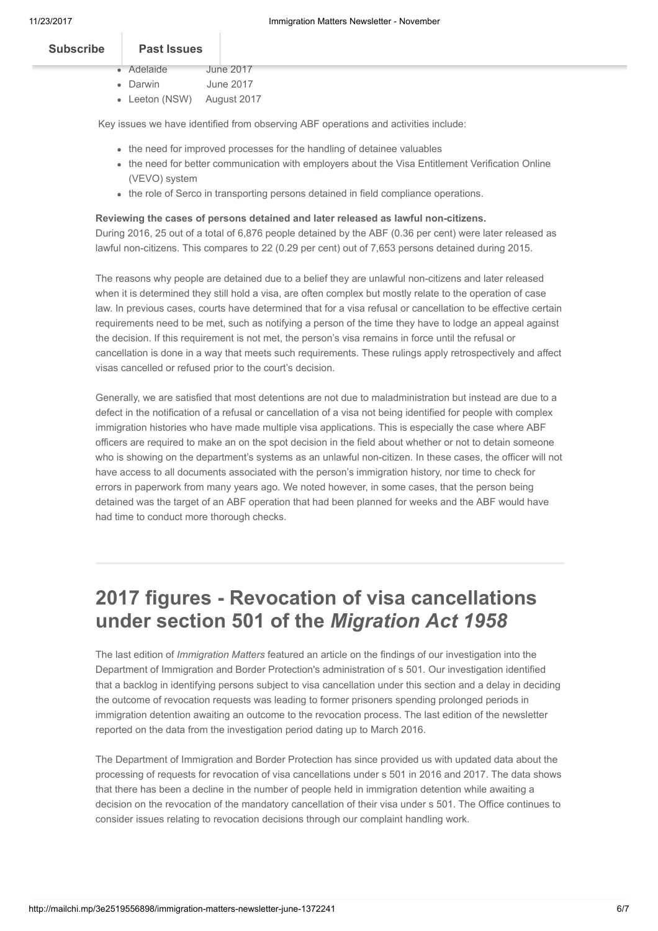| <b>Subscribe</b> | <b>Past Issues</b> |           |
|------------------|--------------------|-----------|
|                  | • Adelaide         | June 2017 |

- Darwin June 2017
- Leeton (NSW) August 2017

Key issues we have identified from observing ABF operations and activities include:

- the need for improved processes for the handling of detainee valuables
- the need for better communication with employers about the Visa Entitlement Verification Online (VEVO) system
- the role of Serco in transporting persons detained in field compliance operations.

#### Reviewing the cases of persons detained and later released as lawful non-citizens.

During 2016, 25 out of a total of 6,876 people detained by the ABF (0.36 per cent) were later released as lawful non-citizens. This compares to 22 (0.29 per cent) out of 7,653 persons detained during 2015.

The reasons why people are detained due to a belief they are unlawful non-citizens and later released when it is determined they still hold a visa, are often complex but mostly relate to the operation of case law. In previous cases, courts have determined that for a visa refusal or cancellation to be effective certain requirements need to be met, such as notifying a person of the time they have to lodge an appeal against the decision. If this requirement is not met, the person's visa remains in force until the refusal or cancellation is done in a way that meets such requirements. These rulings apply retrospectively and affect visas cancelled or refused prior to the court's decision.

Generally, we are satisfied that most detentions are not due to maladministration but instead are due to a defect in the notification of a refusal or cancellation of a visa not being identified for people with complex immigration histories who have made multiple visa applications. This is especially the case where ABF officers are required to make an on the spot decision in the field about whether or not to detain someone who is showing on the department's systems as an unlawful non-citizen. In these cases, the officer will not have access to all documents associated with the person's immigration history, nor time to check for errors in paperwork from many years ago. We noted however, in some cases, that the person being detained was the target of an ABF operation that had been planned for weeks and the ABF would have had time to conduct more thorough checks.

## 2017 figures - Revocation of visa cancellations under section 501 of the Migration Act 1958

The last edition of *Immigration Matters* featured an article on the findings of our investigation into the Department of Immigration and Border Protection's administration of s 501. Our investigation identified that a backlog in identifying persons subject to visa cancellation under this section and a delay in deciding the outcome of revocation requests was leading to former prisoners spending prolonged periods in immigration detention awaiting an outcome to the revocation process. The last edition of the newsletter reported on the data from the investigation period dating up to March 2016.

The Department of Immigration and Border Protection has since provided us with updated data about the processing of requests for revocation of visa cancellations under s 501 in 2016 and 2017. The data shows that there has been a decline in the number of people held in immigration detention while awaiting a decision on the revocation of the mandatory cancellation of their visa under s 501. The Office continues to consider issues relating to revocation decisions through our complaint handling work.